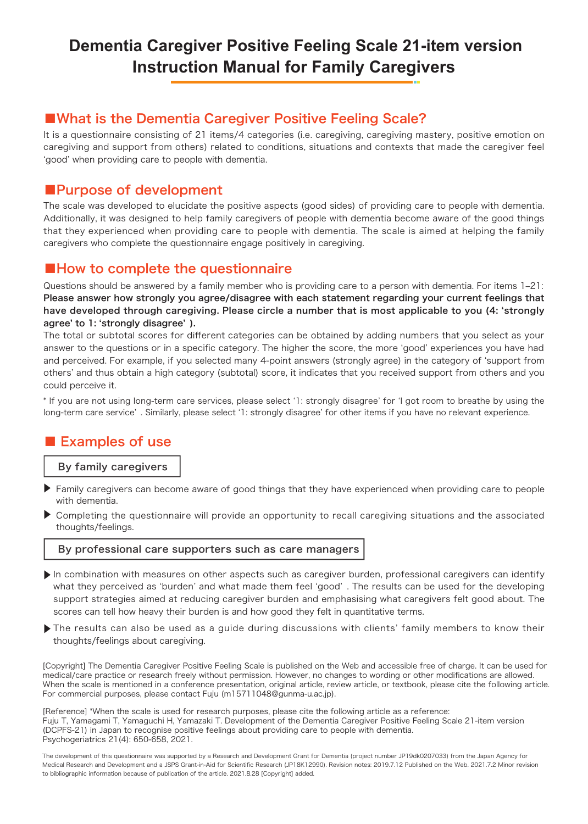## **Dementia Caregiver Positive Feeling Scale 21-item version Instruction Manual for Family Caregivers**

### ■What is the Dementia Caregiver Positive Feeling Scale?

It is a questionnaire consisting of 21 items/4 categories (i.e. caregiving, caregiving mastery, positive emotion on caregiving and support from others) related to conditions, situations and contexts that made the caregiver feel ʻgood' when providing care to people with dementia.

#### ■Purpose of development

The scale was developed to elucidate the positive aspects (good sides) of providing care to people with dementia. Additionally, it was designed to help family caregivers of people with dementia become aware of the good things that they experienced when providing care to people with dementia. The scale is aimed at helping the family caregivers who complete the questionnaire engage positively in caregiving.

#### ■How to complete the questionnaire

Questions should be answered by a family member who is providing care to a person with dementia. For items 1-21: Please answer how strongly you agree/disagree with each statement regarding your current feelings that have developed through caregiving. Please circle a number that is most applicable to you (4: ʻstrongly agree' to 1: ʻstrongly disagree' ).

The total or subtotal scores for different categories can be obtained by adding numbers that you select as your answer to the questions or in a specific category. The higher the score, the more ʻgood' experiences you have had and perceived. For example, if you selected many 4-point answers (strongly agree) in the category of ʻsupport from others' and thus obtain a high category (subtotal) score, it indicates that you received support from others and you could perceive it.

\* If you are not using long-term care services, please select ʻ1: strongly disagree' for ʻI got room to breathe by using the long-term care service' . Similarly, please select ʻ1: strongly disagree' for other items if you have no relevant experience.

## ■ Examples of use

#### By family caregivers

- ▶ Family caregivers can become aware of good things that they have experienced when providing care to people with dementia.
- Completing the questionnaire will provide an opportunity to recall caregiving situations and the associated thoughts/feelings. ▶

#### By professional care supporters such as care managers

- ▶ In combination with measures on other aspects such as caregiver burden, professional caregivers can identify what they perceived as 'burden' and what made them feel 'good'. The results can be used for the developing support strategies aimed at reducing caregiver burden and emphasising what caregivers felt good about. The scores can tell how heavy their burden is and how good they felt in quantitative terms.
- ▶ The results can also be used as a guide during discussions with clients' family members to know their thoughts/feelings about caregiving.

[Copyright] The Dementia Caregiver Positive Feeling Scale is published on the Web and accessible free of charge. It can be used for medical/care practice or research freely without permission. However, no changes to wording or other modifications are allowed. When the scale is mentioned in a conference presentation, original article, review article, or textbook, please cite the following article. For commercial purposes, please contact Fuju (m15711048@gunma-u.ac.jp).

[Reference] \*When the scale is used for research purposes, please cite the following article as a reference: Fuju T, Yamagami T, Yamaguchi H, Yamazaki T. Development of the Dementia Caregiver Positive Feeling Scale 21-item version (DCPFS-21) in Japan to recognise positive feelings about providing care to people with dementia. Psychogeriatrics 21(4): 650-658, 2021.

The development of this questionnaire was supported by a Research and Development Grant for Dementia (project number JP19dk0207033) from the Japan Agency for Medical Research and Development and a JSPS Grant-in-Aid for Scientific Research (JP18K12990). Revision notes: 2019.7.12 Published on the Web. 2021.7.2 Minor revision to bibliographic information because of publication of the article. 2021.8.28 [Copyright] added.